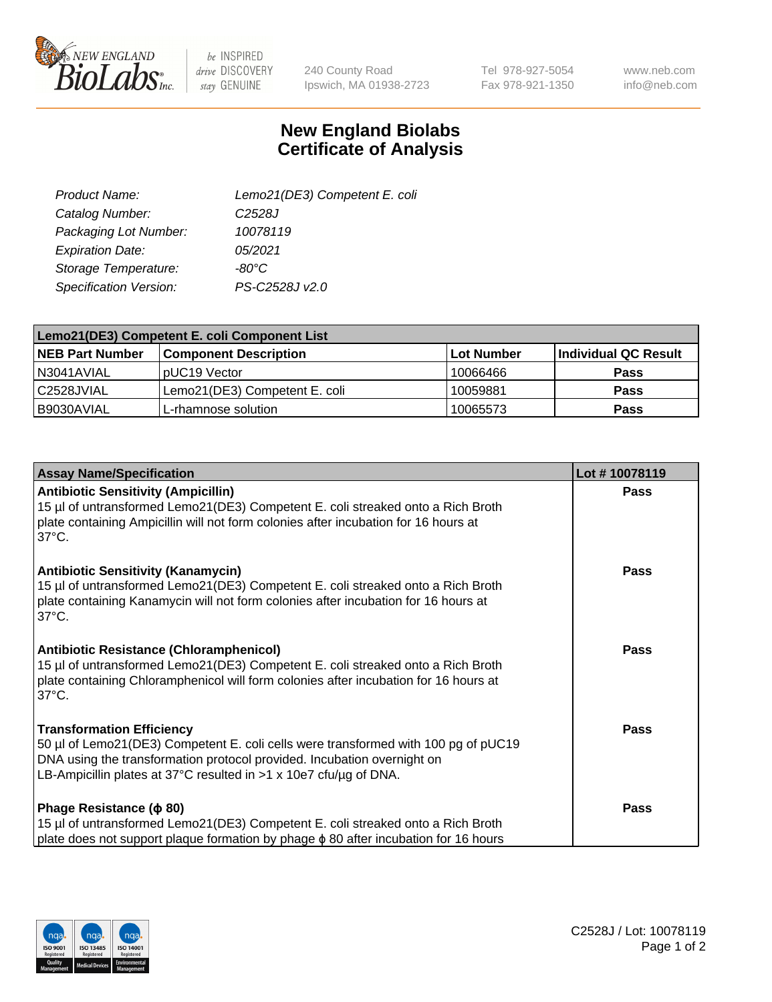

 $be$  INSPIRED drive DISCOVERY stay GENUINE

240 County Road Ipswich, MA 01938-2723 Tel 978-927-5054 Fax 978-921-1350

www.neb.com info@neb.com

## **New England Biolabs Certificate of Analysis**

| Product Name:           | Lemo21(DE3) Competent E. coli |
|-------------------------|-------------------------------|
| Catalog Number:         | C <sub>2528</sub> J           |
| Packaging Lot Number:   | 10078119                      |
| <b>Expiration Date:</b> | 05/2021                       |
| Storage Temperature:    | $-80^{\circ}$ C               |
| Specification Version:  | PS-C2528J v2.0                |

| Lemo21(DE3) Competent E. coli Component List |                               |                   |                      |  |
|----------------------------------------------|-------------------------------|-------------------|----------------------|--|
| <b>NEB Part Number</b>                       | <b>Component Description</b>  | <b>Lot Number</b> | Individual QC Result |  |
| I N3041AVIAL                                 | IpUC19 Vector                 | 10066466          | Pass                 |  |
| C2528JVIAL                                   | Lemo21(DE3) Competent E. coli | 10059881          | <b>Pass</b>          |  |
| B9030AVIAL                                   | L-rhamnose solution           | 10065573          | <b>Pass</b>          |  |

| <b>Assay Name/Specification</b>                                                                                                                                                                                                                                               | Lot #10078119 |
|-------------------------------------------------------------------------------------------------------------------------------------------------------------------------------------------------------------------------------------------------------------------------------|---------------|
| <b>Antibiotic Sensitivity (Ampicillin)</b><br>15 µl of untransformed Lemo21(DE3) Competent E. coli streaked onto a Rich Broth<br>plate containing Ampicillin will not form colonies after incubation for 16 hours at<br>$37^{\circ}$ C.                                       | <b>Pass</b>   |
| <b>Antibiotic Sensitivity (Kanamycin)</b><br>15 µl of untransformed Lemo21(DE3) Competent E. coli streaked onto a Rich Broth<br>plate containing Kanamycin will not form colonies after incubation for 16 hours at<br>$37^{\circ}$ C.                                         | Pass          |
| <b>Antibiotic Resistance (Chloramphenicol)</b><br>15 µl of untransformed Lemo21(DE3) Competent E. coli streaked onto a Rich Broth<br>plate containing Chloramphenicol will form colonies after incubation for 16 hours at<br>$37^{\circ}$ C.                                  | <b>Pass</b>   |
| <b>Transformation Efficiency</b><br>50 µl of Lemo21(DE3) Competent E. coli cells were transformed with 100 pg of pUC19<br>DNA using the transformation protocol provided. Incubation overnight on<br>LB-Ampicillin plates at 37°C resulted in $>1 \times 10e7$ cfu/ug of DNA. | <b>Pass</b>   |
| Phage Resistance ( $\phi$ 80)<br>15 µl of untransformed Lemo21(DE3) Competent E. coli streaked onto a Rich Broth<br>plate does not support plaque formation by phage φ 80 after incubation for 16 hours                                                                       | <b>Pass</b>   |